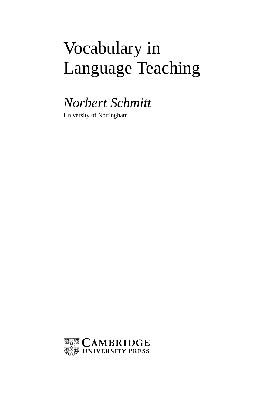# Vocabulary in Language Teaching

*Norbert Schmitt*

University of Nottingham

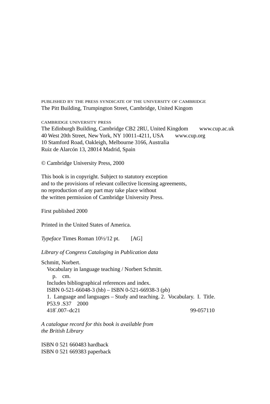PUBLISHED BY THE PRESS SYNDICATE OF THE UNIVERSITY OF CAMBRIDGE The Pitt Building, Trumpington Street, Cambridge, United Kingom

CAMBRIDGE UNIVERSITY PRESS The Edinburgh Building, Cambridge CB2 2RU, United Kingdom www.cup.ac.uk 40 West 20th Street, New York, NY 10011-4211, USA www.cup.org 10 Stamford Road, Oakleigh, Melbourne 3166, Australia Ruiz de Alarcón 13, 28014 Madrid, Spain

© Cambridge University Press, 2000

This book is in copyright. Subject to statutory exception and to the provisions of relevant collective licensing agreements, no reproduction of any part may take place without the written permission of Cambridge University Press.

First published 2000

Printed in the United States of America.

*Typeface* Times Roman  $10\frac{1}{2}$  pt. [AG]

*Library of Congress Cataloging in Publication data*

Schmitt, Norbert. Vocabulary in language teaching / Norbert Schmitt. p. cm. Includes bibliographical references and index. ISBN 0-521-66048-3 (hb) – ISBN 0-521-66938-3 (pb) 1. Language and languages – Study and teaching. 2. Vocabulary. I. Title. P53.9 .S37 2000 418′.007–dc21 99-057110

*A catalogue record for this book is available from the British Library*

ISBN 0 521 660483 hardback ISBN 0 521 669383 paperback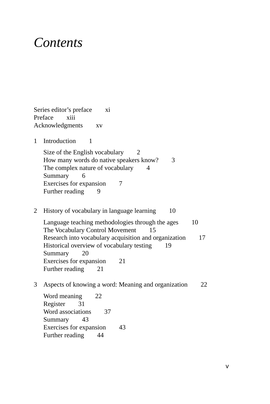### *Contents*

Series editor's preface xi Preface xiii Acknowledgments xv 1 Introduction 1 Size of the English vocabulary 2

How many words do native speakers know? 3 The complex nature of vocabulary 4 Summary 6 Exercises for expansion 7 Further reading 9

2 History of vocabulary in language learning 10

Language teaching methodologies through the ages 10 The Vocabulary Control Movement 15 Research into vocabulary acquisition and organization 17 Historical overview of vocabulary testing 19 Summary 20 Exercises for expansion 21 Further reading 21

3 Aspects of knowing a word: Meaning and organization 22

Word meaning 22 Register 31 Word associations 37 Summary 43 Exercises for expansion 43 Further reading 44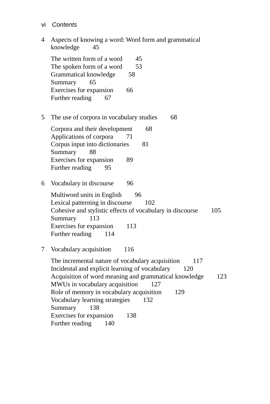- vi Contents
- 4 Aspects of knowing a word: Word form and grammatical knowledge 45

The written form of a word 45 The spoken form of a word 53 Grammatical knowledge 58 Summary 65 Exercises for expansion 66 Further reading 67

5 The use of corpora in vocabulary studies 68

Corpora and their development 68 Applications of corpora 71 Corpus input into dictionaries 81 Summary 88 Exercises for expansion 89 Further reading 95

6 Vocabulary in discourse 96

Multiword units in English 96 Lexical patterning in discourse 102 Cohesive and stylistic effects of vocabulary in discourse 105 Summary 113 Exercises for expansion 113 Further reading 114

7 Vocabulary acquisition 116

The incremental nature of vocabulary acquisition 117 Incidental and explicit learning of vocabulary 120 Acquisition of word meaning and grammatical knowledge 123 MWUs in vocabulary acquisition 127 Role of memory in vocabulary acquisition 129 Vocabulary learning strategies 132 Summary 138 Exercises for expansion 138 Further reading 140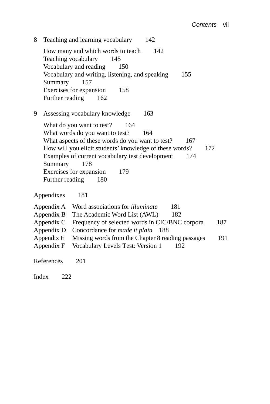8 Teaching and learning vocabulary 142 How many and which words to teach 142 Teaching vocabulary 145 Vocabulary and reading 150 Vocabulary and writing, listening, and speaking 155 Summary 157 Exercises for expansion 158 Further reading 162 9 Assessing vocabulary knowledge 163 What do you want to test? 164 What words do you want to test? 164 What aspects of these words do you want to test? 167 How will you elicit students' knowledge of these words? 172 Examples of current vocabulary test development 174 Summary 178 Exercises for expansion 179 Further reading 180 Appendixes 181 Appendix A Word associations for *illuminate* 181 Appendix B The Academic Word List (AWL) 182 Appendix C Frequency of selected words in CIC/BNC corpora 187 Appendix D Concordance for *made it plain* 188 Appendix E Missing words from the Chapter 8 reading passages 191 Appendix F Vocabulary Levels Test: Version 1 192 References 201

Index 222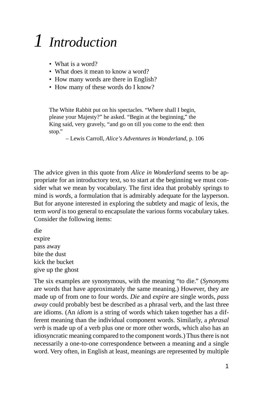## *1 Introduction*

- What is a word?
- What does it mean to know a word?
- How many words are there in English?
- How many of these words do I know?

The White Rabbit put on his spectacles. "Where shall I begin, please your Majesty?" he asked. "Begin at the beginning," the King said, very gravely, "and go on till you come to the end: then stop."

– Lewis Carroll, *Alice's Adventures in Wonderland,* p. 106

The advice given in this quote from *Alice in Wonderland* seems to be appropriate for an introductory text, so to start at the beginning we must consider what we mean by vocabulary. The first idea that probably springs to mind is *words,* a formulation that is admirably adequate for the layperson. But for anyone interested in exploring the subtlety and magic of lexis, the term *word* is too general to encapsulate the various forms vocabulary takes. Consider the following items:

die expire pass away bite the dust kick the bucket give up the ghost

The six examples are synonymous, with the meaning "to die." (*Synonyms* are words that have approximately the same meaning.) However, they are made up of from one to four words. *Die* and *expire* are single words, *pass away* could probably best be described as a phrasal verb, and the last three are idioms. (An *idiom* is a string of words which taken together has a different meaning than the individual component words. Similarly, a *phrasal verb* is made up of a verb plus one or more other words, which also has an idiosyncratic meaning compared to the component words.) Thus there is not necessarily a one-to-one correspondence between a meaning and a single word. Very often, in English at least, meanings are represented by multiple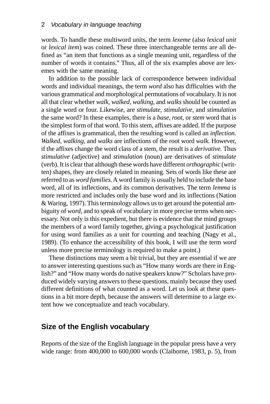words. To handle these multiword units, the term *lexeme* (also *lexical unit* or *lexical item*) was coined. These three interchangeable terms are all defined as "an item that functions as a single meaning unit, regardless of the number of words it contains." Thus, all of the six examples above are lexemes with the same meaning.

In addition to the possible lack of correspondence between individual words and individual meanings, the term *word* also has difficulties with the various grammatical and morphological permutations of vocabulary. It is not all that clear whether *walk, walked, walking,* and *walks* should be counted as a single word or four. Likewise, are *stimulate, stimulative,* and *stimulation* the same word? In these examples, there is a *base, root,* or *stem* word that is the simplest form of that word. To this stem, affixes are added. If the purpose of the affixes is grammatical, then the resulting word is called an *inflection. Walked, walking,* and *walks* are inflections of the root word *walk.* However, if the affixes change the word class of a stem, the result is a *derivative.* Thus *stimulative* (adjective) and *stimulation* (noun) are derivatives of *stimulate* (verb). It is clear that although these words have different *orthographic* (written) shapes, they are closely related in meaning. Sets of words like these are referred to as *word families.*A word family is usually held to include the base word, all of its inflections, and its common derivatives. The term *lemma* is more restricted and includes only the base word and its inflections (Nation & Waring, 1997). This terminology allows us to get around the potential ambiguity of *word,* and to speak of vocabulary in more precise terms when necessary. Not only is this expedient, but there is evidence that the mind groups the members of a word family together, giving a psychological justification for using word families as a unit for counting and teaching (Nagy et al., 1989). (To enhance the accessibility of this book, I will use the term *word* unless more precise terminology is required to make a point.)

These distinctions may seem a bit trivial, but they are essential if we are to answer interesting questions such as "How many words are there in English?" and "How many words do native speakers know?" Scholars have produced widely varying answers to these questions, mainly because they used different definitions of what counted as a word. Let us look at these questions in a bit more depth, because the answers will determine to a large extent how we conceptualize and teach vocabulary.

#### **Size of the English vocabulary**

Reports of the size of the English language in the popular press have a very wide range: from 400,000 to 600,000 words (Claiborne, 1983, p. 5), from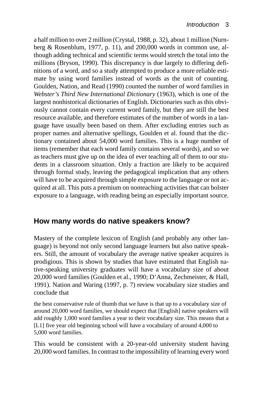a half million to over 2 million (Crystal, 1988, p. 32), about 1 million (Nurnberg & Rosenblum, 1977, p. 11), and 200,000 words in common use, although adding technical and scientific terms would stretch the total into the millions (Bryson, 1990). This discrepancy is due largely to differing definitions of a word, and so a study attempted to produce a more reliable estimate by using word families instead of words as the unit of counting. Goulden, Nation, and Read (1990) counted the number of word families in *Webster's Third New International Dictionary* (1963), which is one of the largest nonhistorical dictionaries of English. Dictionaries such as this obviously cannot contain every current word family, but they are still the best resource available, and therefore estimates of the number of words in a language have usually been based on them. After excluding entries such as proper names and alternative spellings, Goulden et al. found that the dictionary contained about 54,000 word families. This is a huge number of items (remember that each word family contains several words), and so we as teachers must give up on the idea of ever teaching all of them to our students in a classroom situation. Only a fraction are likely to be acquired through formal study, leaving the pedagogical implication that any others will have to be acquired through simple exposure to the language or not acquired at all. This puts a premium on nonteaching activities that can bolster exposure to a language, with reading being an especially important source.

#### **How many words do native speakers know?**

Mastery of the complete lexicon of English (and probably any other language) is beyond not only second language learners but also native speakers. Still, the amount of vocabulary the average native speaker acquires is prodigious. This is shown by studies that have estimated that English native-speaking university graduates will have a vocabulary size of about 20,000 word families (Goulden et al., 1990; D'Anna, Zechmeister, & Hall, 1991). Nation and Waring (1997, p. 7) review vocabulary size studies and conclude that

the best conservative rule of thumb that we have is that up to a vocabulary size of around 20,000 word families, we should expect that [English] native speakers will add roughly 1,000 word families a year to their vocabulary size. This means that a [L1] five year old beginning school will have a vocabulary of around 4,000 to 5,000 word families.

This would be consistent with a 20-year-old university student having 20,000 word families. In contrast to the impossibility of learning every word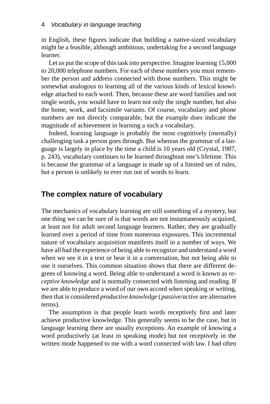in English, these figures indicate that building a native-sized vocabulary might be a feasible, although ambitious, undertaking for a second language learner.

Let us put the scope of this task into perspective. Imagine learning 15,000 to 20,000 telephone numbers. For each of these numbers you must remember the person and address connected with those numbers. This might be somewhat analogous to learning all of the various kinds of lexical knowledge attached to each word. Then, because these are word families and not single words, you would have to learn not only the single number, but also the home, work, and facsimile variants. Of course, vocabulary and phone numbers are not directly comparable, but the example does indicate the magnitude of achievement in learning a such a vocabulary.

Indeed, learning language is probably the most cognitively (mentally) challenging task a person goes through. But whereas the grammar of a language is largely in place by the time a child is 10 years old (Crystal, 1987, p. 243), vocabulary continues to be learned throughout one's lifetime. This is because the grammar of a language is made up of a limited set of rules, but a person is unlikely to ever run out of words to learn.

#### **The complex nature of vocabulary**

The mechanics of vocabulary learning are still something of a mystery, but one thing we can be sure of is that words are not instantaneously acquired, at least not for adult second language learners. Rather, they are gradually learned over a period of time from numerous exposures. This incremental nature of vocabulary acquisition manifests itself in a number of ways. We have all had the experience of being able to recognize and understand a word when we see it in a text or hear it in a conversation, but not being able to use it ourselves. This common situation shows that there are different degrees of knowing a word. Being able to understand a word is known as *receptive knowledge* and is normally connected with listening and reading. If we are able to produce a word of our own accord when speaking or writing, then that is considered *productive knowledge* (*passive/active* are alternative terms).

The assumption is that people learn words receptively first and later achieve productive knowledge. This generally seems to be the case, but in language learning there are usually exceptions. An example of knowing a word productively (at least in speaking mode) but not receptively in the written mode happened to me with a word connected with law. I had often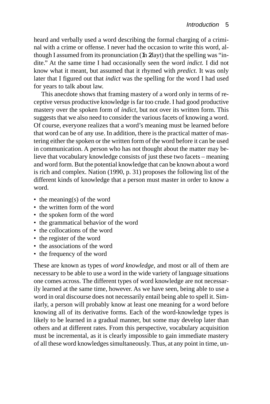heard and verbally used a word describing the formal charging of a criminal with a crime or offense. I never had the occasion to write this word, although I assumed from its pronunciation (In 2dayt) that the spelling was "indite." At the same time I had occasionally seen the word *indict.* I did not know what it meant, but assumed that it rhymed with *predict.* It was only later that I figured out that *indict* was the spelling for the word I had used for years to talk about law.

This anecdote shows that framing mastery of a word only in terms of receptive versus productive knowledge is far too crude. I had good productive mastery over the spoken form of *indict,* but not over its written form. This suggests that we also need to consider the various facets of knowing a word. Of course, everyone realizes that a word's meaning must be learned before that word can be of any use. In addition, there is the practical matter of mastering either the spoken or the written form of the word before it can be used in communication. A person who has not thought about the matter may believe that vocabulary knowledge consists of just these two facets – meaning and word form. But the potential knowledge that can be known about a word is rich and complex. Nation (1990, p. 31) proposes the following list of the different kinds of knowledge that a person must master in order to know a word.

- the meaning(s) of the word
- the written form of the word
- the spoken form of the word
- the grammatical behavior of the word
- the collocations of the word
- the register of the word
- the associations of the word
- the frequency of the word

These are known as types of *word knowledge,* and most or all of them are necessary to be able to use a word in the wide variety of language situations one comes across. The different types of word knowledge are not necessarily learned at the same time, however. As we have seen, being able to use a word in oral discourse does not necessarily entail being able to spell it. Similarly, a person will probably know at least one meaning for a word before knowing all of its derivative forms. Each of the word-knowledge types is likely to be learned in a gradual manner, but some may develop later than others and at different rates. From this perspective, vocabulary acquisition must be incremental, as it is clearly impossible to gain immediate mastery of all these word knowledges simultaneously. Thus, at any point in time, un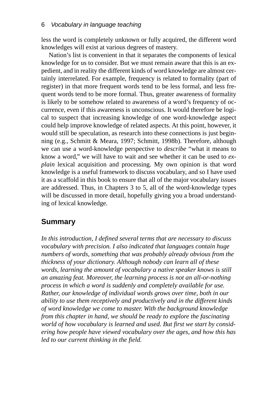less the word is completely unknown or fully acquired, the different word knowledges will exist at various degrees of mastery.

Nation's list is convenient in that it separates the components of lexical knowledge for us to consider. But we must remain aware that this is an expedient, and in reality the different kinds of word knowledge are almost certainly interrelated. For example, frequency is related to formality (part of register) in that more frequent words tend to be less formal, and less frequent words tend to be more formal. Thus, greater awareness of formality is likely to be somehow related to awareness of a word's frequency of occurrence, even if this awareness is unconscious. It would therefore be logical to suspect that increasing knowledge of one word-knowledge aspect could help improve knowledge of related aspects. At this point, however, it would still be speculation, as research into these connections is just beginning (e.g., Schmitt & Meara, 1997; Schmitt, 1998b). Therefore, although we can use a word-knowledge perspective to *describe* "what it means to know a word," we will have to wait and see whether it can be used to *explain* lexical acquisition and processing. My own opinion is that word knowledge is a useful framework to discuss vocabulary, and so I have used it as a scaffold in this book to ensure that all of the major vocabulary issues are addressed. Thus, in Chapters 3 to 5, all of the word-knowledge types will be discussed in more detail, hopefully giving you a broad understanding of lexical knowledge.

#### **Summary**

*In this introduction, I defined several terms that are necessary to discuss vocabulary with precision. I also indicated that languages contain huge numbers of words, something that was probably already obvious from the thickness of your dictionary. Although nobody can learn all of these words, learning the amount of vocabulary a native speaker knows is still an amazing feat. Moreover, the learning process is not an all-or-nothing process in which a word is suddenly and completely available for use. Rather, our knowledge of individual words grows over time, both in our ability to use them receptively and productively and in the different kinds of word knowledge we come to master. With the background knowledge from this chapter in hand, we should be ready to explore the fascinating world of how vocabulary is learned and used. But first we start by considering how people have viewed vocabulary over the ages, and how this has led to our current thinking in the field.*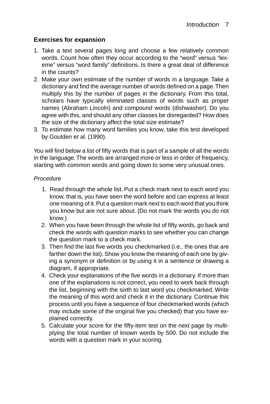#### **Exercises for expansion**

- 1. Take a text several pages long and choose a few relatively common words. Count how often they occur according to the "word" versus "lexeme" versus "word family" definitions. Is there a great deal of difference in the counts?
- 2. Make your own estimate of the number of words in a language. Take a dictionary and find the average number of words defined on a page.Then multiply this by the number of pages in the dictionary. From this total, scholars have typically eliminated classes of words such as proper names (Abraham Lincoln) and compound words (dishwasher). Do you agree with this, and should any other classes be disregarded? How does the size of the dictionary affect the total size estimate?
- 3. To estimate how many word families you know, take this test developed by Goulden et al. (1990).

You will find below a list of fifty words that is part of a sample of all the words in the language.The words are arranged more or less in order of frequency, starting with common words and going down to some very unusual ones.

#### **Procedure**

- 1. Read through the whole list. Put a check mark next to each word you know, that is, you have seen the word before and can express at least one meaning of it.Put a question mark next to each word that you think you know but are not sure about. (Do not mark the words you do not know.)
- 2. When you have been through the whole list of fifty words, go back and check the words with question marks to see whether you can change the question mark to a check mark.
- 3. Then find the last five words you checkmarked (i.e., the ones that are farther down the list). Show you know the meaning of each one by giving a synonym or definition or by using it in a sentence or drawing a diagram, if appropriate.
- 4. Check your explanations of the five words in a dictionary. If more than one of the explanations is not correct, you need to work back through the list, beginning with the sixth to last word you checkmarked. Write the meaning of this word and check it in the dictionary. Continue this process until you have a sequence of four checkmarked words (which may include some of the original five you checked) that you have explained correctly.
- 5. Calculate your score for the fifty-item test on the next page by multiplying the total number of known words by 500. Do not include the words with a question mark in your scoring.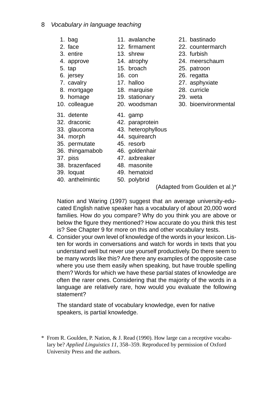- 
- 
- 
- 
- 
- 
- 
- 
- 
- 9. homage 19. stationary 29. weta
- 
- 31. detente 41. gamp
- 32. draconic 42. paraprotein
- 33. glaucoma 43. heterophyllous
- 
- 35. permutate 45. resorb
- 
- 
- 38. brazenfaced 48. masonite
- 
- 40. anthelmintic 50. polybrid
- 
- -
	-
- 34. morph 44. squirearch
	-
- 36. thingamabob 46. goldenhair
- 37. piss 47. axbreaker
	-
- 39. loquat 49. hematoid
	-
- 1. bag 11. avalanche 21. bastinado
- 2. face 12. firmament 22. countermarch
- 3. entire 13. shrew 23. furbish
- 4. approve 14. atrophy 24. meerschaum
- 5. tap 15. broach 25. patroon
- 6. jersey 16. con 26. regatta
- 7. cavalry 17. halloo 27. asphyxiate
- 8. mortgage 18. marquise 28. curricle
	-
- 10. colleague 20. woodsman 30. bioenvironmental

(Adapted from Goulden et al.)\*

Nation and Waring (1997) suggest that an average university-educated English native speaker has a vocabulary of about 20,000 word families. How do you compare? Why do you think you are above or below the figure they mentioned? How accurate do you think this test is? See Chapter 9 for more on this and other vocabulary tests.

4. Consider your own level of knowledge of the words in your lexicon. Listen for words in conversations and watch for words in texts that you understand well but never use yourself productively. Do there seem to be many words like this? Are there any examples of the opposite case where you use them easily when speaking, but have trouble spelling them? Words for which we have these partial states of knowledge are often the rarer ones. Considering that the majority of the words in a language are relatively rare, how would you evaluate the following statement?

The standard state of vocabulary knowledge, even for native speakers, is partial knowledge.

<sup>\*</sup> From R. Goulden, P. Nation, & J. Read (1990). How large can a receptive vocabulary be? *Applied Linguistics 11,* 358–359. Reproduced by permission of Oxford University Press and the authors.